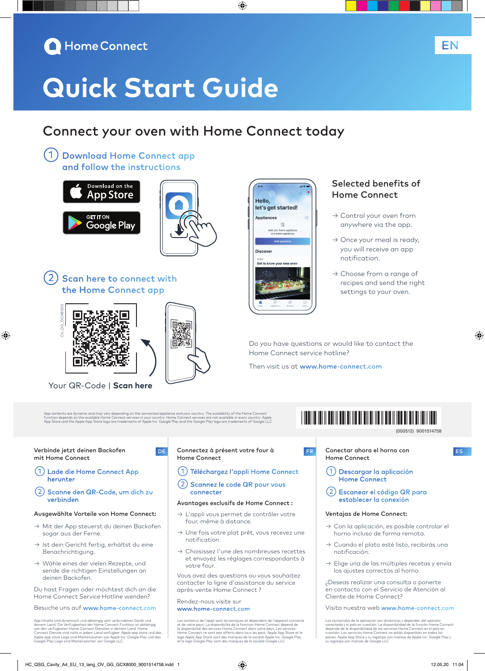

# **Quick Start Guide**

# Connect your oven with Home Connect today

◈

Hello.

**Appliances** 

**Discover** Get to know your n

let's get started!

 $\mathbb{R}$ home app<br>mo annlia

①Download Home Connect app and follow the instructions





②Scan here to connect with the Home Connect app



⊕

Your QR-Code | **Scan here**

App contents are dynamic and may vary depending on the connected appliance and your country. The availability of the Home Connect<br>function depends on the available Home Connect services in your country. Home Connect servic

اتتا ا

D<sub>E</sub>

## Verbinde jetzt deinen Backofen mit Home Connect

①Lade die Home Connect App herunter

②Scanne den QR-Code, um dich zu verbinden

# Ausgewählte Vorteile von Home Connect:

- → Mit der App steuerst du deinen Backofen sogar aus der Ferne.
- $\rightarrow$  Ist dein Gericht fertig, erhältst du eine Benachrichtigung.
- → Wähle eines der vielen Rezepte, und sende die richtigen Einstellungen an deinen Backofen.

Du hast Fragen oder möchtest dich an die Home Connect Service Hotline wenden?

# Besuche uns auf www.home-connect.com

App Inhalte sind dynamisch und abhängig vom verbundenen Gerät und<br>deinem Land. Die Verfügbarkeit der Home Connect Funktion ist abhängig<br>von den verfügbaren Home Connect Diensten in deinem Land. Home<br>Connect Dienste sind ni

# Connectez à présent votre four à Home Connect

# ①Téléchargez l'appli Home Connect

# ②Scannez le code QR pour vous connecter

#### Avantages exclusifs de Home Connect :

- → L'appli vous permet de contrôler votre four, même à distance.
- → Une fois votre plat prêt, vous recevez une notification.
- → Choisissez l'une des nombreuses recettes et envoyez les réglages correspondants à votre four.

Vous avez des questions ou vous souhaitez contacter la ligne d'assistance du service après-vente Home Connect ?

### Rendez-nous visite sur www.home-connect.com

Les contenus de l'appli sont dynamiques et dépendent de l'appareil connecté et de votre pays. La disponibilité de la fonction Home Connect dépend de la disponibilité des services Home Connect dans votre pays. Les services<br>Home Connect ne sont pas offerts dans tous les pays. Apple App Store et le<br>logo Apple App Store sont des marques de la société Apple Inc. Google Play

# Selected benefits of Home Connect

EN

- → Control your oven from anywhere via the app.
- $\rightarrow$  Once your meal is ready, you will receive an app notification.
- $\rightarrow$  Choose from a range of recipes and send the right settings to your oven.

Do you have questions or would like to contact the Home Connect service hotline?

Then visit us at www.home-connect.com

# \*9001514758\*

9001514758 (000512)

◈

**FR** Conectar ahora el horno con **ES** Home Connect

- ①Descargar la aplicación Home Connect
- ②Escanear el código QR para establecer la conexión

## Ventajas de Home Connect:

- → Con la aplicación, es posible controlar el horno incluso de forma remota.
- → Cuando el plato esté listo, recibirás una notificación.
- → Elige una de las múltiples recetas y envía los ajustes correctos al horno.

¿Deseas realizar una consulta o ponerte en contacto con el Servicio de Atención al Cliente de Home Connect?

Visita nuestra web www.home-connect.com

Los contenidos de la aplicación son dinámicos y dependen del aparato<br>conectado y el país en cuestión. La disponibilidad de la función Home Connect<br>depende de la disponibilidad de los servicios Home Connect en el país en<br>cu